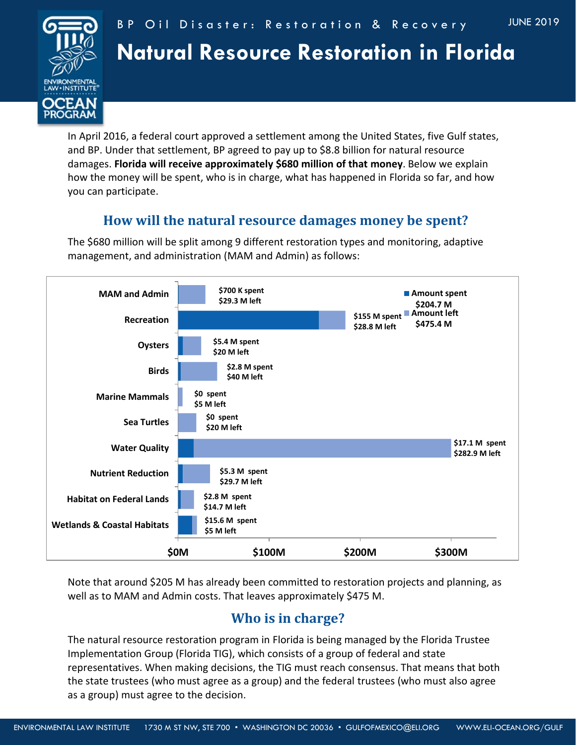

#### BP Oil Disaster: Restoration & Recovery

# **Natural Resource Restoration in Florida**

In April 2016, a federal court approved a settlement among the United States, five Gulf states, and BP. Under that settlement, BP agreed to pay up to \$8.8 billion for natural resource damages. **Florida will receive approximately \$680 million of that money**. Below we explain how the money will be spent, who is in charge, what has happened in Florida so far, and how you can participate.

### **How will the natural resource damages money be spent?**

The \$680 million will be split among 9 different restoration types and monitoring, adaptive management, and administration (MAM and Admin) as follows:



Note that around \$205 M has already been committed to restoration projects and planning, as well as to MAM and Admin costs. That leaves approximately \$475 M.

## **Who is in charge?**

The natural resource restoration program in Florida is being managed by the Florida Trustee Implementation Group (Florida TIG), which consists of a group of federal and state representatives. When making decisions, the TIG must reach consensus. That means that both the state trustees (who must agree as a group) and the federal trustees (who must also agree as a group) must agree to the decision.